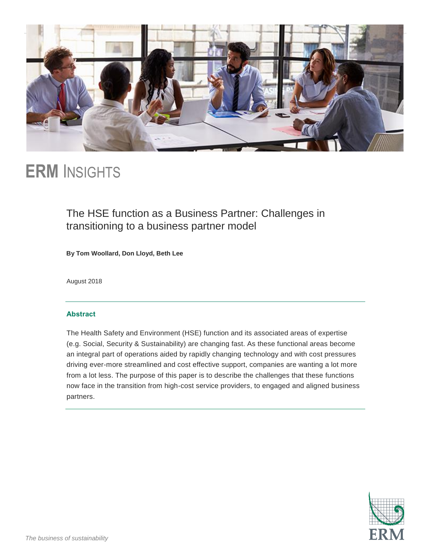

# **ERM** INSIGHTS

# The HSE function as a Business Partner: Challenges in transitioning to a business partner model

**By Tom Woollard, Don Lloyd, Beth Lee**

August 2018

#### **Abstract**

The Health Safety and Environment (HSE) function and its associated areas of expertise (e.g. Social, Security & Sustainability) are changing fast. As these functional areas become an integral part of operations aided by rapidly changing technology and with cost pressures driving ever-more streamlined and cost effective support, companies are wanting a lot more from a lot less. The purpose of this paper is to describe the challenges that these functions now face in the transition from high-cost service providers, to engaged and aligned business partners.

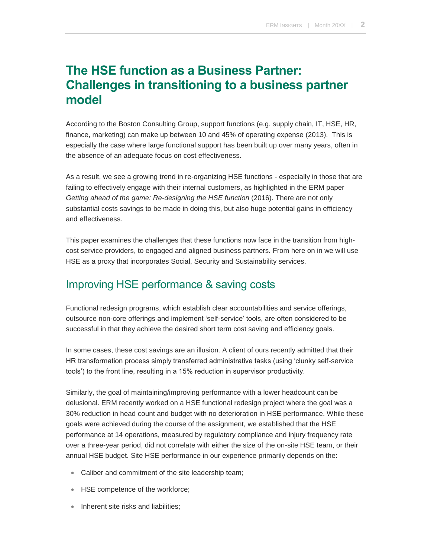# **The HSE function as a Business Partner: Challenges in transitioning to a business partner model**

According to the Boston Consulting Group, support functions (e.g. supply chain, IT, HSE, HR, finance, marketing) can make up between 10 and 45% of operating expense (2013). This is especially the case where large functional support has been built up over many years, often in the absence of an adequate focus on cost effectiveness.

As a result, we see a growing trend in re-organizing HSE functions - especially in those that are failing to effectively engage with their internal customers, as highlighted in the ERM paper *Getting ahead of the game: Re-designing the HSE function* (2016). There are not only substantial costs savings to be made in doing this, but also huge potential gains in efficiency and effectiveness.

This paper examines the challenges that these functions now face in the transition from highcost service providers, to engaged and aligned business partners. From here on in we will use HSE as a proxy that incorporates Social, Security and Sustainability services.

# Improving HSE performance & saving costs

Functional redesign programs, which establish clear accountabilities and service offerings, outsource non-core offerings and implement 'self-service' tools, are often considered to be successful in that they achieve the desired short term cost saving and efficiency goals.

In some cases, these cost savings are an illusion. A client of ours recently admitted that their HR transformation process simply transferred administrative tasks (using 'clunky self-service tools') to the front line, resulting in a 15% reduction in supervisor productivity.

Similarly, the goal of maintaining/improving performance with a lower headcount can be delusional. ERM recently worked on a HSE functional redesign project where the goal was a 30% reduction in head count and budget with no deterioration in HSE performance. While these goals were achieved during the course of the assignment, we established that the HSE performance at 14 operations, measured by regulatory compliance and injury frequency rate over a three-year period, did not correlate with either the size of the on-site HSE team, or their annual HSE budget. Site HSE performance in our experience primarily depends on the:

- Caliber and commitment of the site leadership team;
- HSE competence of the workforce;
- Inherent site risks and liabilities;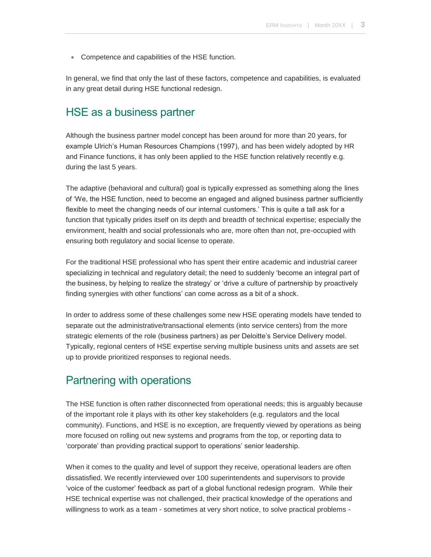Competence and capabilities of the HSE function.

In general, we find that only the last of these factors, competence and capabilities, is evaluated in any great detail during HSE functional redesign.

## HSE as a business partner

Although the business partner model concept has been around for more than 20 years, for example Ulrich's Human Resources Champions (1997), and has been widely adopted by HR and Finance functions, it has only been applied to the HSE function relatively recently e.g. during the last 5 years.

The adaptive (behavioral and cultural) goal is typically expressed as something along the lines of 'We, the HSE function, need to become an engaged and aligned business partner sufficiently flexible to meet the changing needs of our internal customers.' This is quite a tall ask for a function that typically prides itself on its depth and breadth of technical expertise; especially the environment, health and social professionals who are, more often than not, pre-occupied with ensuring both regulatory and social license to operate.

For the traditional HSE professional who has spent their entire academic and industrial career specializing in technical and regulatory detail; the need to suddenly 'become an integral part of the business, by helping to realize the strategy' or 'drive a culture of partnership by proactively finding synergies with other functions' can come across as a bit of a shock.

In order to address some of these challenges some new HSE operating models have tended to separate out the administrative/transactional elements (into service centers) from the more strategic elements of the role (business partners) as per Deloitte's Service Delivery model. Typically, regional centers of HSE expertise serving multiple business units and assets are set up to provide prioritized responses to regional needs.

### Partnering with operations

The HSE function is often rather disconnected from operational needs; this is arguably because of the important role it plays with its other key stakeholders (e.g. regulators and the local community). Functions, and HSE is no exception, are frequently viewed by operations as being more focused on rolling out new systems and programs from the top, or reporting data to 'corporate' than providing practical support to operations' senior leadership.

When it comes to the quality and level of support they receive, operational leaders are often dissatisfied. We recently interviewed over 100 superintendents and supervisors to provide 'voice of the customer' feedback as part of a global functional redesign program. While their HSE technical expertise was not challenged, their practical knowledge of the operations and willingness to work as a team - sometimes at very short notice, to solve practical problems -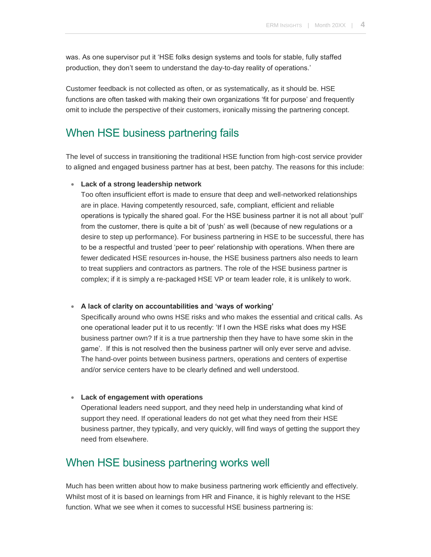was. As one supervisor put it 'HSE folks design systems and tools for stable, fully staffed production, they don't seem to understand the day-to-day reality of operations.'

Customer feedback is not collected as often, or as systematically, as it should be. HSE functions are often tasked with making their own organizations 'fit for purpose' and frequently omit to include the perspective of their customers, ironically missing the partnering concept.

### When HSE business partnering fails

The level of success in transitioning the traditional HSE function from high-cost service provider to aligned and engaged business partner has at best, been patchy. The reasons for this include:

#### **Lack of a strong leadership network**

Too often insufficient effort is made to ensure that deep and well-networked relationships are in place. Having competently resourced, safe, compliant, efficient and reliable operations is typically the shared goal. For the HSE business partner it is not all about 'pull' from the customer, there is quite a bit of 'push' as well (because of new regulations or a desire to step up performance). For business partnering in HSE to be successful, there has to be a respectful and trusted 'peer to peer' relationship with operations. When there are fewer dedicated HSE resources in-house, the HSE business partners also needs to learn to treat suppliers and contractors as partners. The role of the HSE business partner is complex; if it is simply a re-packaged HSE VP or team leader role, it is unlikely to work.

#### **A lack of clarity on accountabilities and 'ways of working'**

Specifically around who owns HSE risks and who makes the essential and critical calls. As one operational leader put it to us recently: 'If I own the HSE risks what does my HSE business partner own? If it is a true partnership then they have to have some skin in the game'. If this is not resolved then the business partner will only ever serve and advise. The hand-over points between business partners, operations and centers of expertise and/or service centers have to be clearly defined and well understood.

#### **Lack of engagement with operations**

Operational leaders need support, and they need help in understanding what kind of support they need. If operational leaders do not get what they need from their HSE business partner, they typically, and very quickly, will find ways of getting the support they need from elsewhere.

## When HSE business partnering works well

Much has been written about how to make business partnering work efficiently and effectively. Whilst most of it is based on learnings from HR and Finance, it is highly relevant to the HSE function. What we see when it comes to successful HSE business partnering is: